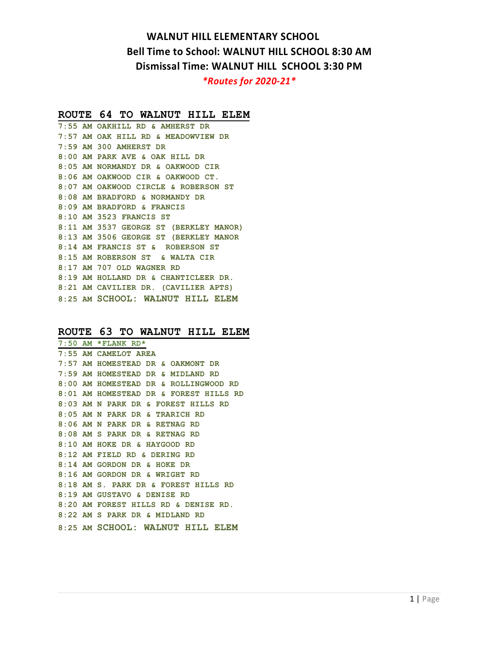# **WALNUT HILL ELEMENTARY SCHOOL Bell Time to School: WALNUT HILL SCHOOL 8:30 AM Dismissal Time: WALNUT HILL SCHOOL 3:30 PM** *\*Routes for 2020-21\**

#### **ROUTE 64 TO WALNUT HILL ELEM**

**7:55 AM OAKHILL RD & AMHERST DR 7:57 AM OAK HILL RD & MEADOWVIEW DR 7:59 AM 300 AMHERST DR 8:00 AM PARK AVE & OAK HILL DR 8:05 AM NORMANDY DR & OAKWOOD CIR 8:06 AM OAKWOOD CIR & OAKWOOD CT. 8:07 AM OAKWOOD CIRCLE & ROBERSON ST 8:08 AM BRADFORD & NORMANDY DR 8:09 AM BRADFORD & FRANCIS 8:10 AM 3523 FRANCIS ST 8:11 AM 3537 GEORGE ST (BERKLEY MANOR) 8:13 AM 3506 GEORGE ST (BERKLEY MANOR 8:14 AM FRANCIS ST & ROBERSON ST 8:15 AM ROBERSON ST & WALTA CIR 8:17 AM 707 OLD WAGNER RD 8:19 AM HOLLAND DR & CHANTICLEER DR. 8:21 AM CAVILIER DR. (CAVILIER APTS) 8:25 AM SCHOOL: WALNUT HILL ELEM** 

### **ROUTE 63 TO WALNUT HILL ELEM**

|  | $7:50$ AM *FLANK RD*                   |
|--|----------------------------------------|
|  | 7:55 AM CAMELOT AREA                   |
|  | 7:57 AM HOMESTEAD DR & OAKMONT DR      |
|  | 7:59 AM HOMESTEAD DR & MIDLAND RD      |
|  | 8:00 AM HOMESTEAD DR & ROLLINGWOOD RD  |
|  | 8:01 AM HOMESTEAD DR & FOREST HILLS RD |
|  | 8:03 AM N PARK DR & FOREST HILLS RD    |
|  | 8:05 AM N PARK DR & TRARICH RD         |
|  | $8:06$ AM N PARK DR & RETNAG RD        |
|  | 8:08 AM S PARK DR & RETNAG RD          |
|  | 8:10 AM HOKE DR & HAYGOOD RD           |
|  | $8:12$ AM FIELD RD & DERING RD         |
|  | 8:14 AM GORDON DR & HOKE DR            |
|  | 8:16 AM GORDON DR & WRIGHT RD          |
|  | 8:18 AM S. PARK DR & FOREST HILLS RD   |
|  | 8:19 AM GUSTAVO & DENISE RD            |
|  | 8:20 AM FOREST HILLS RD & DENISE RD.   |
|  | 8:22 AM S PARK DR & MIDLAND RD         |
|  | 8:25 AM SCHOOL: WALNUT HILL ELEM       |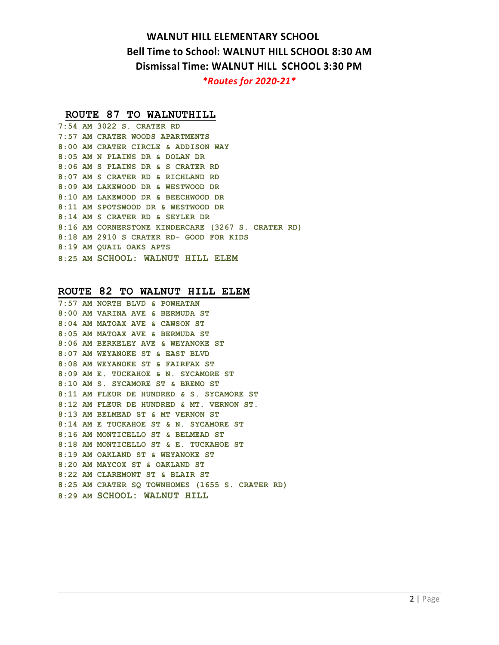# **WALNUT HILL ELEMENTARY SCHOOL Bell Time to School: WALNUT HILL SCHOOL 8:30 AM Dismissal Time: WALNUT HILL SCHOOL 3:30 PM** *\*Routes for 2020-21\**

## **ROUTE 87 TO WALNUTHILL**

|  | 7:54 AM 3022 S. CRATER RD                          |
|--|----------------------------------------------------|
|  | 7:57 AM CRATER WOODS APARTMENTS                    |
|  | 8:00 AM CRATER CIRCLE & ADDISON WAY                |
|  | 8:05 AM N PLAINS DR & DOLAN DR                     |
|  | 8:06 AM S PLAINS DR & S CRATER RD                  |
|  | 8:07 AM S CRATER RD & RICHLAND RD                  |
|  | 8:09 AM LAKEWOOD DR & WESTWOOD DR                  |
|  | 8:10 AM LAKEWOOD DR & BEECHWOOD DR                 |
|  | 8:11 AM SPOTSWOOD DR & WESTWOOD DR                 |
|  | 8:14 AM S CRATER RD & SEYLER DR                    |
|  | 8:16 AM CORNERSTONE KINDERCARE (3267 S. CRATER RD) |
|  | 8:18 AM 2910 S CRATER RD- GOOD FOR KIDS            |
|  | 8:19 AM OUAIL OAKS APTS                            |
|  | 8:25 AM SCHOOL: WALNUT HILL ELEM                   |
|  |                                                    |

## **ROUTE 82 TO WALNUT HILL ELEM**

|  | 7:57 AM NORTH BLVD & POWHATAN                   |
|--|-------------------------------------------------|
|  | 8:00 AM VARINA AVE & BERMUDA ST                 |
|  | 8:04 AM MATOAX AVE & CAWSON ST                  |
|  | 8:05 AM MATOAX AVE & BERMUDA ST                 |
|  | 8:06 AM BERKELEY AVE & WEYANOKE ST              |
|  | 8:07 AM WEYANOKE ST & EAST BLVD                 |
|  | 8:08 AM WEYANOKE ST & FAIRFAX ST                |
|  | 8:09 AM E. TUCKAHOE & N. SYCAMORE ST            |
|  | 8:10 AM S. SYCAMORE ST & BREMO ST               |
|  | 8:11 AM FLEUR DE HUNDRED & S. SYCAMORE ST       |
|  | 8:12 AM FLEUR DE HUNDRED & MT. VERNON ST.       |
|  | 8:13 AM BELMEAD ST & MT VERNON ST               |
|  | 8:14 AM E TUCKAHOE ST & N. SYCAMORE ST          |
|  | 8:16 AM MONTICELLO ST & BELMEAD ST              |
|  | 8:18 AM MONTICELLO ST & E. TUCKAHOE ST          |
|  | 8:19 AM OAKLAND ST & WEYANOKE ST                |
|  | 8:20 AM MAYCOX ST & OAKLAND ST                  |
|  | 8:22 AM CLAREMONT ST & BLAIR ST                 |
|  | 8:25 AM CRATER SO TOWNHOMES (1655 S. CRATER RD) |
|  | 8:29 AM SCHOOL: WALNUT HILL                     |
|  |                                                 |